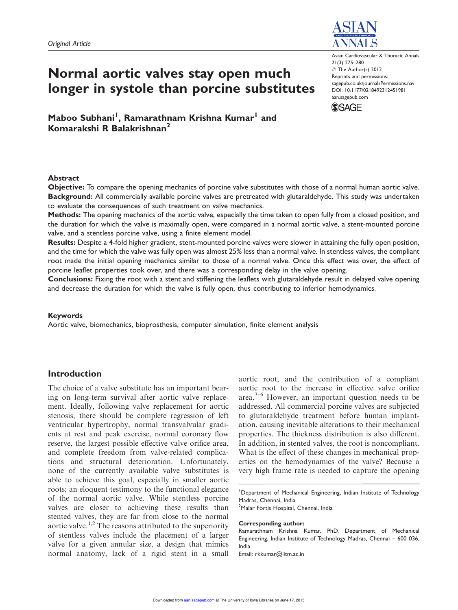

# Normal aortic valves stay open much longer in systole than porcine substitutes

Asian Cardiovascular & Thoracic Annals 21(3) 275–280 C The Author(s) 2012 Reprints and permissions: sagepub.co.uk/journalsPermissions.nav DOI: 10.1177/0218492312451981 aan.sagepub.com

**SSAGE** 

Maboo Subhani<sup>1</sup>, Ramarathnam Krishna Kumar<sup>1</sup> and Komarakshi R Balakrishnan<sup>2</sup>

#### Abstract

Objective: To compare the opening mechanics of porcine valve substitutes with those of a normal human aortic valve. Background: All commercially available porcine valves are pretreated with glutaraldehyde. This study was undertaken to evaluate the consequences of such treatment on valve mechanics.

Methods: The opening mechanics of the aortic valve, especially the time taken to open fully from a closed position, and the duration for which the valve is maximally open, were compared in a normal aortic valve, a stent-mounted porcine valve, and a stentless porcine valve, using a finite element model.

Results: Despite a 4-fold higher gradient, stent-mounted porcine valves were slower in attaining the fully open position, and the time for which the valve was fully open was almost 25% less than a normal valve. In stentless valves, the compliant root made the initial opening mechanics similar to those of a normal valve. Once this effect was over, the effect of porcine leaflet properties took over, and there was a corresponding delay in the valve opening.

Conclusions: Fixing the root with a stent and stiffening the leaflets with glutaraldehyde result in delayed valve opening and decrease the duration for which the valve is fully open, thus contributing to inferior hemodynamics.

## Keywords

Aortic valve, biomechanics, bioprosthesis, computer simulation, finite element analysis

# Introduction

The choice of a valve substitute has an important bearing on long-term survival after aortic valve replacement. Ideally, following valve replacement for aortic stenosis, there should be complete regression of left ventricular hypertrophy, normal transvalvular gradients at rest and peak exercise, normal coronary flow reserve, the largest possible effective valve orifice area, and complete freedom from valve-related complications and structural deterioration. Unfortunately, none of the currently available valve substitutes is able to achieve this goal, especially in smaller aortic roots; an eloquent testimony to the functional elegance of the normal aortic valve. While stentless porcine valves are closer to achieving these results than stented valves, they are far from close to the normal aortic valve.<sup>1,2</sup> The reasons attributed to the superiority of stentless valves include the placement of a larger valve for a given annular size, a design that mimics normal anatomy, lack of a rigid stent in a small

aortic root, and the contribution of a compliant aortic root to the increase in effective valve orifice area. $3-6$  However, an important question needs to be addressed. All commercial porcine valves are subjected to glutaraldehyde treatment before human implantation, causing inevitable alterations to their mechanical properties. The thickness distribution is also different. In addition, in stented valves, the root is noncompliant. What is the effect of these changes in mechanical properties on the hemodynamics of the valve? Because a very high frame rate is needed to capture the opening

<sup>1</sup>Department of Mechanical Engineering, Indian Institute of Technology Madras, Chennai, India

# <sup>2</sup>Malar Fortis Hospital, Chennai, India

Corresponding author:

Ramarathnam Krishna Kumar, PhD, Department of Mechanical Engineering, Indian Institute of Technology Madras, Chennai – 600 036, India.

Email: rkkumar@iitm.ac.in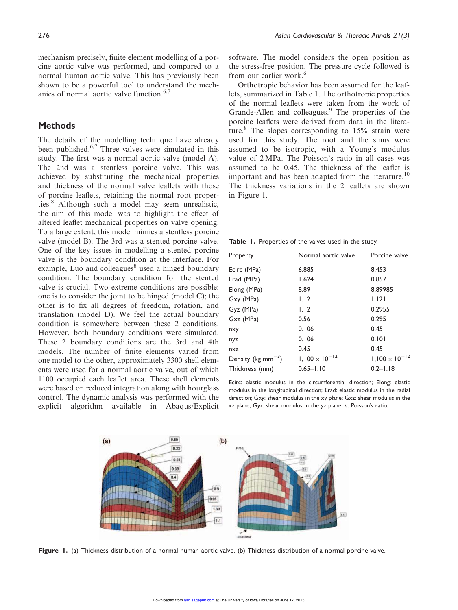mechanism precisely, finite element modelling of a porcine aortic valve was performed, and compared to a normal human aortic valve. This has previously been shown to be a powerful tool to understand the mechanics of normal aortic valve function.<sup>6,7</sup>

# Methods

The details of the modelling technique have already been published. $6,7$  Three valves were simulated in this study. The first was a normal aortic valve (model A). The 2nd was a stentless porcine valve. This was achieved by substituting the mechanical properties and thickness of the normal valve leaflets with those of porcine leaflets, retaining the normal root properties.<sup>8</sup> Although such a model may seem unrealistic, the aim of this model was to highlight the effect of altered leaflet mechanical properties on valve opening. To a large extent, this model mimics a stentless porcine valve (model B). The 3rd was a stented porcine valve. One of the key issues in modelling a stented porcine valve is the boundary condition at the interface. For example, Luo and colleagues<sup>8</sup> used a hinged boundary condition. The boundary condition for the stented valve is crucial. Two extreme conditions are possible: one is to consider the joint to be hinged (model C); the other is to fix all degrees of freedom, rotation, and translation (model D). We feel the actual boundary condition is somewhere between these 2 conditions. However, both boundary conditions were simulated. These 2 boundary conditions are the 3rd and 4th models. The number of finite elements varied from one model to the other, approximately 3300 shell elements were used for a normal aortic valve, out of which 1100 occupied each leaflet area. These shell elements were based on reduced integration along with hourglass control. The dynamic analysis was performed with the explicit algorithm available in Abaqus/Explicit software. The model considers the open position as the stress-free position. The pressure cycle followed is from our earlier work.<sup>6</sup>

Orthotropic behavior has been assumed for the leaflets, summarized in Table 1. The orthotropic properties of the normal leaflets were taken from the work of Grande-Allen and colleagues.<sup>9</sup> The properties of the porcine leaflets were derived from data in the literature.<sup>8</sup> The slopes corresponding to  $15\%$  strain were used for this study. The root and the sinus were assumed to be isotropic, with a Young's modulus value of 2 MPa. The Poisson's ratio in all cases was assumed to be 0.45. The thickness of the leaflet is important and has been adapted from the literature.<sup>10</sup> The thickness variations in the 2 leaflets are shown in Figure 1.

Table 1. Properties of the valves used in the study.

| Property              | Normal aortic valve     | Porcine valve           |
|-----------------------|-------------------------|-------------------------|
| Ecirc (MPa)           | 6.885                   | 8.453                   |
| Erad (MPa)            | 1.624                   | 0.857                   |
| Elong (MPa)           | 8.89                    | 8.89985                 |
| Gxy (MPa)             | 1.121                   | 1.121                   |
| Gyz (MPa)             | 1.121                   | 0.2955                  |
| Gxz (MPa)             | 0.56                    | 0.295                   |
| nxy                   | 0.106                   | 0.45                    |
| nyz                   | 0.106                   | 0.101                   |
| nxz                   | 0.45                    | 0.45                    |
| Density ( $kg·mm-3$ ) | $1,100 \times 10^{-12}$ | $1,100 \times 10^{-12}$ |
| Thickness (mm)        | $0.65 - 1.10$           | $0.2 - 1.18$            |
|                       |                         |                         |

Ecirc: elastic modulus in the circumferential direction; Elong: elastic modulus in the longitudinal direction; Erad: elastic modulus in the radial direction; Gxy: shear modulus in the xy plane; Gxz: shear modulus in the xz plane; Gyz: shear modulus in the yz plane; v: Poisson's ratio.



Figure 1. (a) Thickness distribution of a normal human aortic valve. (b) Thickness distribution of a normal porcine valve.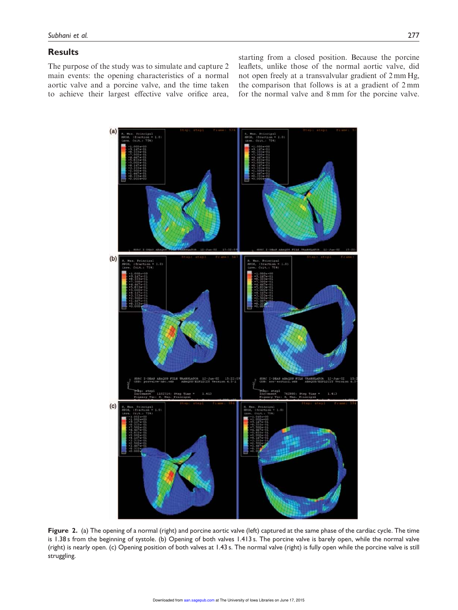# **Results**

The purpose of the study was to simulate and capture 2 main events: the opening characteristics of a normal aortic valve and a porcine valve, and the time taken to achieve their largest effective valve orifice area, starting from a closed position. Because the porcine leaflets, unlike those of the normal aortic valve, did not open freely at a transvalvular gradient of 2 mm Hg, the comparison that follows is at a gradient of 2 mm for the normal valve and 8 mm for the porcine valve.



Figure 2. (a) The opening of a normal (right) and porcine aortic valve (left) captured at the same phase of the cardiac cycle. The time is 1.38 s from the beginning of systole. (b) Opening of both valves 1.413 s. The porcine valve is barely open, while the normal valve (right) is nearly open. (c) Opening position of both valves at 1.43 s. The normal valve (right) is fully open while the porcine valve is still struggling.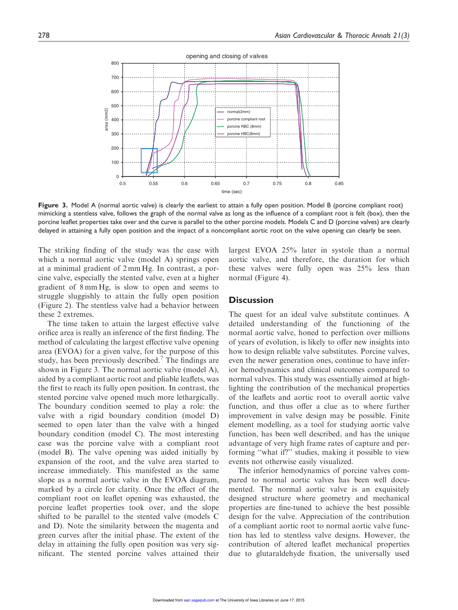

Figure 3. Model A (normal aortic valve) is clearly the earliest to attain a fully open position. Model B (porcine compliant root) mimicking a stentless valve, follows the graph of the normal valve as long as the influence of a compliant root is felt (box), then the porcine leaflet properties take over and the curve is parallel to the other porcine models. Models C and D (porcine valves) are clearly delayed in attaining a fully open position and the impact of a noncompliant aortic root on the valve opening can clearly be seen.

The striking finding of the study was the ease with which a normal aortic valve (model A) springs open at a minimal gradient of 2 mm Hg. In contrast, a porcine valve, especially the stented valve, even at a higher gradient of 8 mm Hg, is slow to open and seems to struggle sluggishly to attain the fully open position (Figure 2). The stentless valve had a behavior between these 2 extremes.

The time taken to attain the largest effective valve orifice area is really an inference of the first finding. The method of calculating the largest effective valve opening area (EVOA) for a given valve, for the purpose of this study, has been previously described.<sup>7</sup> The findings are shown in Figure 3. The normal aortic valve (model A), aided by a compliant aortic root and pliable leaflets, was the first to reach its fully open position. In contrast, the stented porcine valve opened much more lethargically. The boundary condition seemed to play a role: the valve with a rigid boundary condition (model D) seemed to open later than the valve with a hinged boundary condition (model C). The most interesting case was the porcine valve with a compliant root (model B). The valve opening was aided initially by expansion of the root, and the valve area started to increase immediately. This manifested as the same slope as a normal aortic valve in the EVOA diagram, marked by a circle for clarity. Once the effect of the compliant root on leaflet opening was exhausted, the porcine leaflet properties took over, and the slope shifted to be parallel to the stented valve (models C and D). Note the similarity between the magenta and green curves after the initial phase. The extent of the delay in attaining the fully open position was very significant. The stented porcine valves attained their largest EVOA 25% later in systole than a normal aortic valve, and therefore, the duration for which these valves were fully open was 25% less than normal (Figure 4).

# **Discussion**

The quest for an ideal valve substitute continues. A detailed understanding of the functioning of the normal aortic valve, honed to perfection over millions of years of evolution, is likely to offer new insights into how to design reliable valve substitutes. Porcine valves, even the newer generation ones, continue to have inferior hemodynamics and clinical outcomes compared to normal valves. This study was essentially aimed at highlighting the contribution of the mechanical properties of the leaflets and aortic root to overall aortic valve function, and thus offer a clue as to where further improvement in valve design may be possible. Finite element modelling, as a tool for studying aortic valve function, has been well described, and has the unique advantage of very high frame rates of capture and performing ''what if?'' studies, making it possible to view events not otherwise easily visualized.

The inferior hemodynamics of porcine valves compared to normal aortic valves has been well documented. The normal aortic valve is an exquisitely designed structure where geometry and mechanical properties are fine-tuned to achieve the best possible design for the valve. Appreciation of the contribution of a compliant aortic root to normal aortic valve function has led to stentless valve designs. However, the contribution of altered leaflet mechanical properties due to glutaraldehyde fixation, the universally used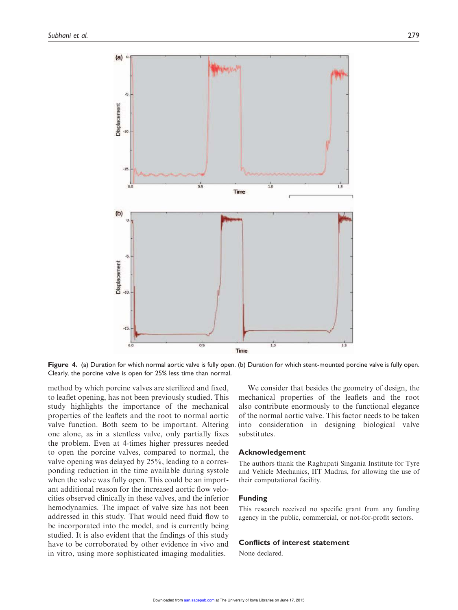

Figure 4. (a) Duration for which normal aortic valve is fully open. (b) Duration for which stent-mounted porcine valve is fully open. Clearly, the porcine valve is open for 25% less time than normal.

method by which porcine valves are sterilized and fixed, to leaflet opening, has not been previously studied. This study highlights the importance of the mechanical properties of the leaflets and the root to normal aortic valve function. Both seem to be important. Altering one alone, as in a stentless valve, only partially fixes the problem. Even at 4-times higher pressures needed to open the porcine valves, compared to normal, the valve opening was delayed by 25%, leading to a corresponding reduction in the time available during systole when the valve was fully open. This could be an important additional reason for the increased aortic flow velocities observed clinically in these valves, and the inferior hemodynamics. The impact of valve size has not been addressed in this study. That would need fluid flow to be incorporated into the model, and is currently being studied. It is also evident that the findings of this study have to be corroborated by other evidence in vivo and in vitro, using more sophisticated imaging modalities.

We consider that besides the geometry of design, the mechanical properties of the leaflets and the root also contribute enormously to the functional elegance of the normal aortic valve. This factor needs to be taken into consideration in designing biological valve substitutes.

#### Acknowledgement

The authors thank the Raghupati Singania Institute for Tyre and Vehicle Mechanics, IIT Madras, for allowing the use of their computational facility.

## Funding

This research received no specific grant from any funding agency in the public, commercial, or not-for-profit sectors.

#### Conflicts of interest statement

None declared.